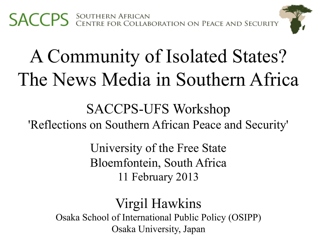

# A Community of Isolated States? The News Media in Southern Africa

SACCPS-UFS Workshop 'Reflections on Southern African Peace and Security'

> University of the Free State Bloemfontein, South Africa 11 February 2013

### Virgil Hawkins

Osaka School of International Public Policy (OSIPP) Osaka University, Japan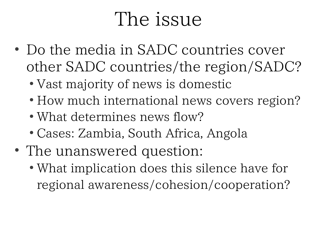### The issue

- Do the media in SADC countries cover other SADC countries/the region/SADC?
	- Vast majority of news is domestic
	- How much international news covers region?
	- What determines news flow?
	- Cases: Zambia, South Africa, Angola
- The unanswered question:
	- What implication does this silence have for regional awareness/cohesion/cooperation?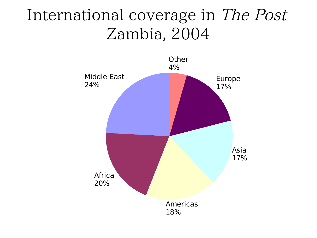### International coverage in The Post Zambia, 2004

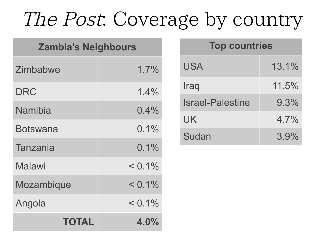### The Post: Coverage by country

| <b>Zambia's Neighbours</b> |           |  |
|----------------------------|-----------|--|
| Zimbabwe                   | 1.7%      |  |
| <b>DRC</b>                 | 1.4%      |  |
| Namibia                    | $0.4\%$   |  |
| Botswana                   | $0.1\%$   |  |
| <b>Tanzania</b>            | $0.1\%$   |  |
| Malawi                     | $< 0.1\%$ |  |
| Mozambique                 | $< 0.1\%$ |  |
| Angola                     | $< 0.1\%$ |  |
| TOTAL                      | $4.0\%$   |  |

| <b>Top countries</b>    |         |
|-------------------------|---------|
| <b>USA</b>              | 13.1%   |
| Iraq                    | 11.5%   |
| <b>Israel-Palestine</b> | $9.3\%$ |
| UK.                     | $4.7\%$ |
| Sudan                   | 3.9%    |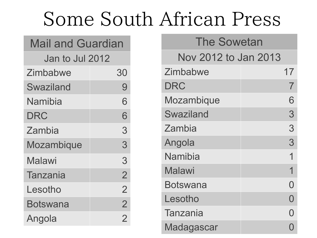## Some South African Press

## Mail and Guardian

Jan to Jul 2012

| Zimbabwe   | 30             |
|------------|----------------|
| Swaziland  | 9              |
| Namibia    | 6              |
| DRC        | 6              |
| Zambia     | 3              |
| Mozambique | 3              |
| Malawi     | 3              |
| Tanzania   | $\overline{2}$ |
| Lesotho    | $\overline{2}$ |
| Botswana   | $\overline{2}$ |
| Angola     | $\overline{2}$ |

#### The Sowetan

### Nov 2012 to Jan 2013

| Zimbabwe         | 17                |
|------------------|-------------------|
| DRC              | $\mathcal I$      |
| Mozambique       | 6                 |
| <b>Swaziland</b> | 3                 |
| Zambia           | 3                 |
| Angola           | 3                 |
| Namibia          | 1                 |
| Malawi           | 1                 |
| Botswana         | $\mathbf{\Omega}$ |
| Lesotho          | N                 |
| Tanzania         |                   |
| Madagascar       |                   |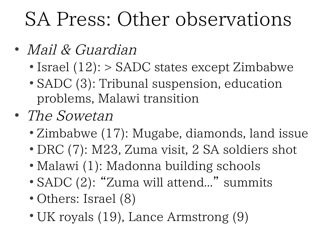### SA Press: Other observations

- Mail & Guardian
	- $\bullet$  Israel (12):  $>$  SADC states except Zimbabwe
	- SADC (3): Tribunal suspension, education problems, Malawi transition
- The Sowetan
	- Zimbabwe (17): Mugabe, diamonds, land issue
	- DRC (7): M23, Zuma visit, 2 SA soldiers shot
	- Malawi (1): Madonna building schools
	- SADC (2): "Zuma will attend..." summits
	- Others: Israel (8)
	- UK royals (19), Lance Armstrong (9)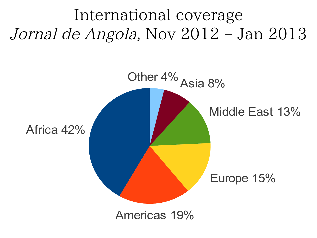International coverage Jornal de Angola, Nov 2012 – Jan 2013

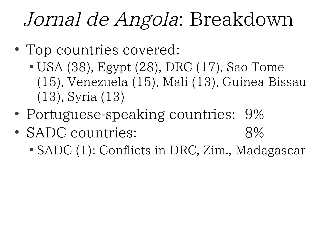## Jornal de Angola: Breakdown

- Top countries covered:
	- USA (38), Egypt (28), DRC (17), Sao Tome (15), Venezuela (15), Mali (13), Guinea Bissau (13), Syria (13)
- Portuguese-speaking countries: 9%
- SADC countries: 8%
	- SADC (1): Conflicts in DRC, Zim., Madagascar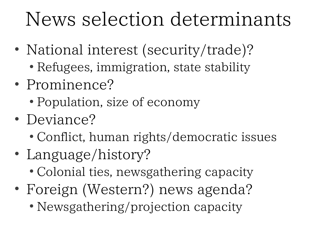## News selection determinants

- National interest (security/trade)?
	- Refugees, immigration, state stability
- Prominence?
	- Population, size of economy
- Deviance?
	- Conflict, human rights/democratic issues
- Language/history?
	- Colonial ties, newsgathering capacity
- Foreign (Western?) news agenda?
	- Newsgathering/projection capacity